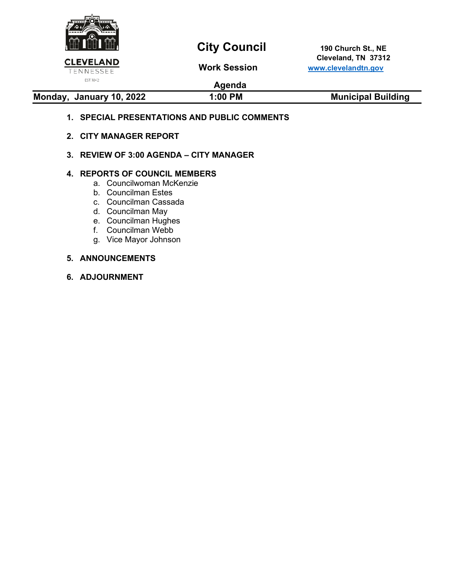

# **City Council** 190 Church St., NE

 **Cleveland, TN 37312 CLEVELAND CONSUMIC CONSUMITED SEE CONSUMIC CONSUMIC CONSUMIC CONSUMITED SEARCH CONSUMIC CONSUMIC CONSUMIC CONSUMIC CONSUMITED SEARCH CONSUMIC CONSUMIC CONSUMIC CONSUMIC CONSUMIC CONSUMIC CONSUMIC CONSUMIC CONSUMIC CONSUMI** 

## **Agenda**

### **Monday, January 10, 2022 1:00 PM Municipal Building**

### **1. SPECIAL PRESENTATIONS AND PUBLIC COMMENTS**

- **2. CITY MANAGER REPORT**
- **3. REVIEW OF 3:00 AGENDA – CITY MANAGER**

### **4. REPORTS OF COUNCIL MEMBERS**

- a. Councilwoman McKenzie
- b. Councilman Estes
- c. Councilman Cassada
- d. Councilman May
- e. Councilman Hughes
- f. Councilman Webb
- g. Vice Mayor Johnson

### **5. ANNOUNCEMENTS**

**6. ADJOURNMENT**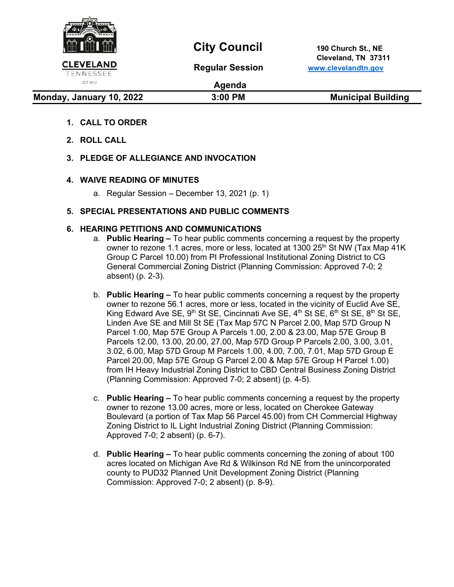

# **City Council** 190 Church St., NE

 **Cleveland, TN 37311 Regular Session [www.clevelandtn.gov](http://www.clevelandtn.gov/)**

EST. 1842

**Agenda**

### **Monday, January 10, 2022** 3:00 PM Municipal Building

- **1. CALL TO ORDER**
- **2. ROLL CALL**
- **3. PLEDGE OF ALLEGIANCE AND INVOCATION**

### **4. WAIVE READING OF MINUTES**

a. Regular Session – December 13, 2021 (p. 1)

### **5. SPECIAL PRESENTATIONS AND PUBLIC COMMENTS**

### **6. HEARING PETITIONS AND COMMUNICATIONS**

- a. **Public Hearing –** To hear public comments concerning a request by the property owner to rezone 1.1 acres, more or less, located at 1300 25<sup>th</sup> St NW (Tax Map 41K) Group C Parcel 10.00) from PI Professional Institutional Zoning District to CG General Commercial Zoning District (Planning Commission: Approved 7-0; 2 absent) (p. 2-3).
- b. **Public Hearing –** To hear public comments concerning a request by the property owner to rezone 56.1 acres, more or less, located in the vicinity of Euclid Ave SE, King Edward Ave SE,  $9<sup>th</sup>$  St SE, Cincinnati Ave SE,  $4<sup>th</sup>$  St SE,  $6<sup>th</sup>$  St SE,  $8<sup>th</sup>$  St SE, Linden Ave SE and Mill St SE (Tax Map 57C N Parcel 2.00, Map 57D Group N Parcel 1.00, Map 57E Group A Parcels 1.00, 2.00 & 23.00, Map 57E Group B Parcels 12.00, 13.00, 20.00, 27.00, Map 57D Group P Parcels 2.00, 3.00, 3.01, 3.02, 6.00, Map 57D Group M Parcels 1.00, 4.00, 7.00, 7.01, Map 57D Group E Parcel 20.00, Map 57E Group G Parcel 2.00 & Map 57E Group H Parcel 1.00) from IH Heavy Industrial Zoning District to CBD Central Business Zoning District (Planning Commission: Approved 7-0; 2 absent) (p. 4-5).
- c. **Public Hearing –** To hear public comments concerning a request by the property owner to rezone 13.00 acres, more or less, located on Cherokee Gateway Boulevard (a portion of Tax Map 56 Parcel 45.00) from CH Commercial Highway Zoning District to IL Light Industrial Zoning District (Planning Commission: Approved 7-0; 2 absent) (p. 6-7).
- d. **Public Hearing –** To hear public comments concerning the zoning of about 100 acres located on Michigan Ave Rd & Wilkinson Rd NE from the unincorporated county to PUD32 Planned Unit Development Zoning District (Planning Commission: Approved 7-0; 2 absent) (p. 8-9).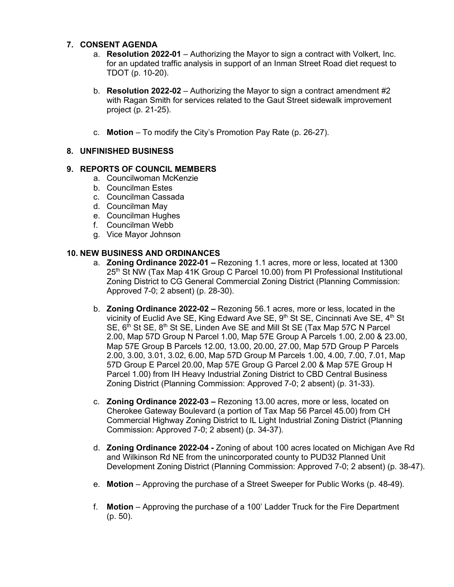### **7. CONSENT AGENDA**

- a. **Resolution 2022-01** Authorizing the Mayor to sign a contract with Volkert, Inc. for an updated traffic analysis in support of an Inman Street Road diet request to TDOT (p. 10-20).
- b. **Resolution 2022-02**  Authorizing the Mayor to sign a contract amendment #2 with Ragan Smith for services related to the Gaut Street sidewalk improvement project (p. 21-25).
- c. **Motion**  To modify the City's Promotion Pay Rate (p. 26-27).

### **8. UNFINISHED BUSINESS**

### **9. REPORTS OF COUNCIL MEMBERS**

- a. Councilwoman McKenzie
- b. Councilman Estes
- c. Councilman Cassada
- d. Councilman May
- e. Councilman Hughes
- f. Councilman Webb
- g. Vice Mayor Johnson

### **10. NEW BUSINESS AND ORDINANCES**

- a. **Zoning Ordinance 2022-01 –** Rezoning 1.1 acres, more or less, located at 1300 25<sup>th</sup> St NW (Tax Map 41K Group C Parcel 10.00) from PI Professional Institutional Zoning District to CG General Commercial Zoning District (Planning Commission: Approved 7-0; 2 absent) (p. 28-30).
- b. **Zoning Ordinance 2022-02 –** Rezoning 56.1 acres, more or less, located in the vicinity of Euclid Ave SE, King Edward Ave SE, 9<sup>th</sup> St SE, Cincinnati Ave SE, 4<sup>th</sup> St SE,  $6<sup>th</sup>$  St SE,  $8<sup>th</sup>$  St SE, Linden Ave SE and Mill St SE (Tax Map 57C N Parcel 2.00, Map 57D Group N Parcel 1.00, Map 57E Group A Parcels 1.00, 2.00 & 23.00, Map 57E Group B Parcels 12.00, 13.00, 20.00, 27.00, Map 57D Group P Parcels 2.00, 3.00, 3.01, 3.02, 6.00, Map 57D Group M Parcels 1.00, 4.00, 7.00, 7.01, Map 57D Group E Parcel 20.00, Map 57E Group G Parcel 2.00 & Map 57E Group H Parcel 1.00) from IH Heavy Industrial Zoning District to CBD Central Business Zoning District (Planning Commission: Approved 7-0; 2 absent) (p. 31-33).
- c. **Zoning Ordinance 2022-03 –** Rezoning 13.00 acres, more or less, located on Cherokee Gateway Boulevard (a portion of Tax Map 56 Parcel 45.00) from CH Commercial Highway Zoning District to IL Light Industrial Zoning District (Planning Commission: Approved 7-0; 2 absent) (p. 34-37).
- d. **Zoning Ordinance 2022-04 -** Zoning of about 100 acres located on Michigan Ave Rd and Wilkinson Rd NE from the unincorporated county to PUD32 Planned Unit Development Zoning District (Planning Commission: Approved 7-0; 2 absent) (p. 38-47).
- e. **Motion** Approving the purchase of a Street Sweeper for Public Works (p. 48-49).
- f. **Motion**  Approving the purchase of a 100' Ladder Truck for the Fire Department (p. 50).